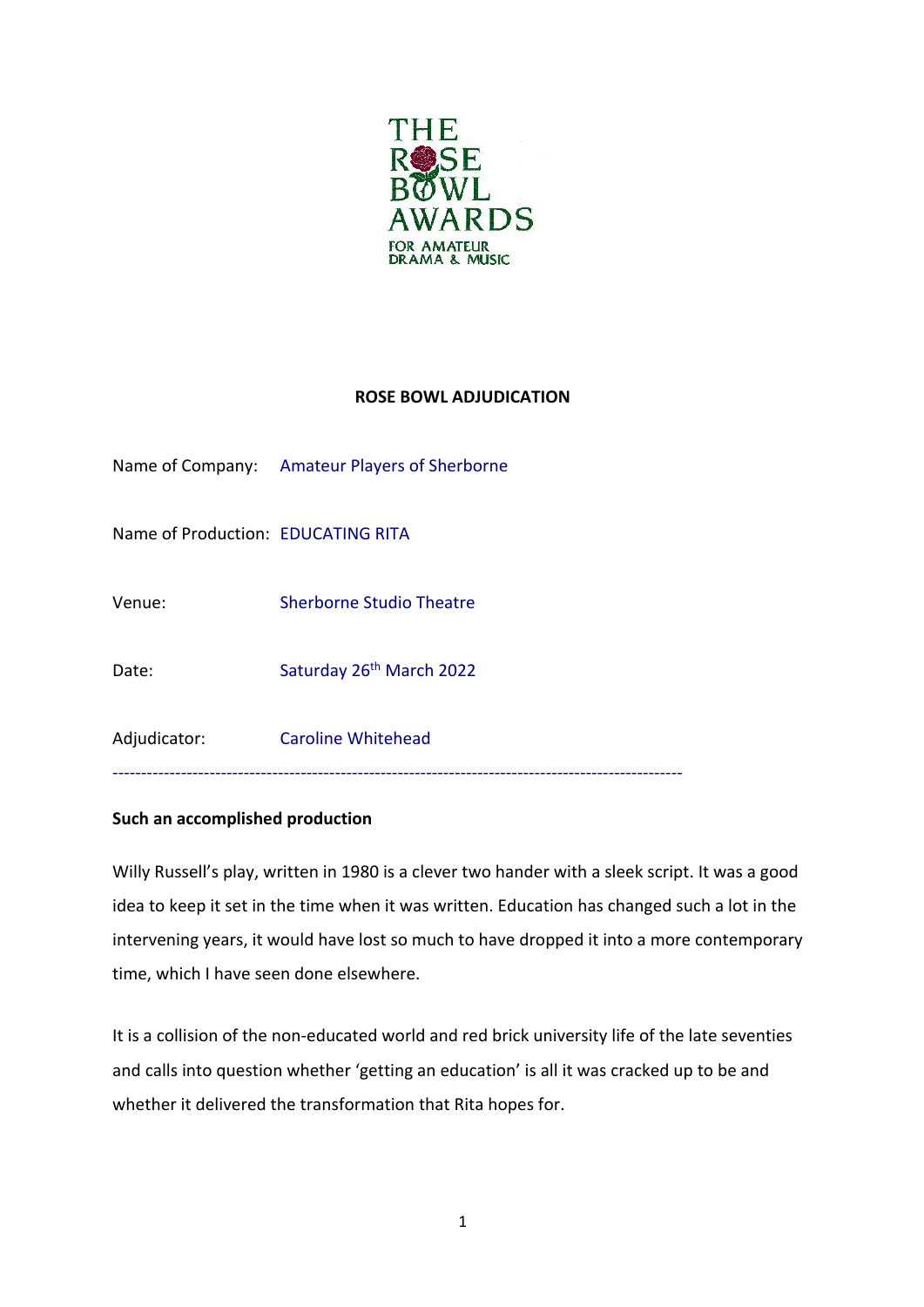

## **ROSE BOWL ADJUDICATION**

|                                    | Name of Company: Amateur Players of Sherborne |
|------------------------------------|-----------------------------------------------|
| Name of Production: EDUCATING RITA |                                               |
| Venue:                             | <b>Sherborne Studio Theatre</b>               |
| Date:                              | Saturday 26 <sup>th</sup> March 2022          |
| Adjudicator:                       | <b>Caroline Whitehead</b>                     |
|                                    |                                               |

## **Such an accomplished production**

Willy Russell's play, written in 1980 is a clever two hander with a sleek script. It was a good idea to keep it set in the time when it was written. Education has changed such a lot in the intervening years, it would have lost so much to have dropped it into a more contemporary time, which I have seen done elsewhere.

It is a collision of the non-educated world and red brick university life of the late seventies and calls into question whether 'getting an education' is all it was cracked up to be and whether it delivered the transformation that Rita hopes for.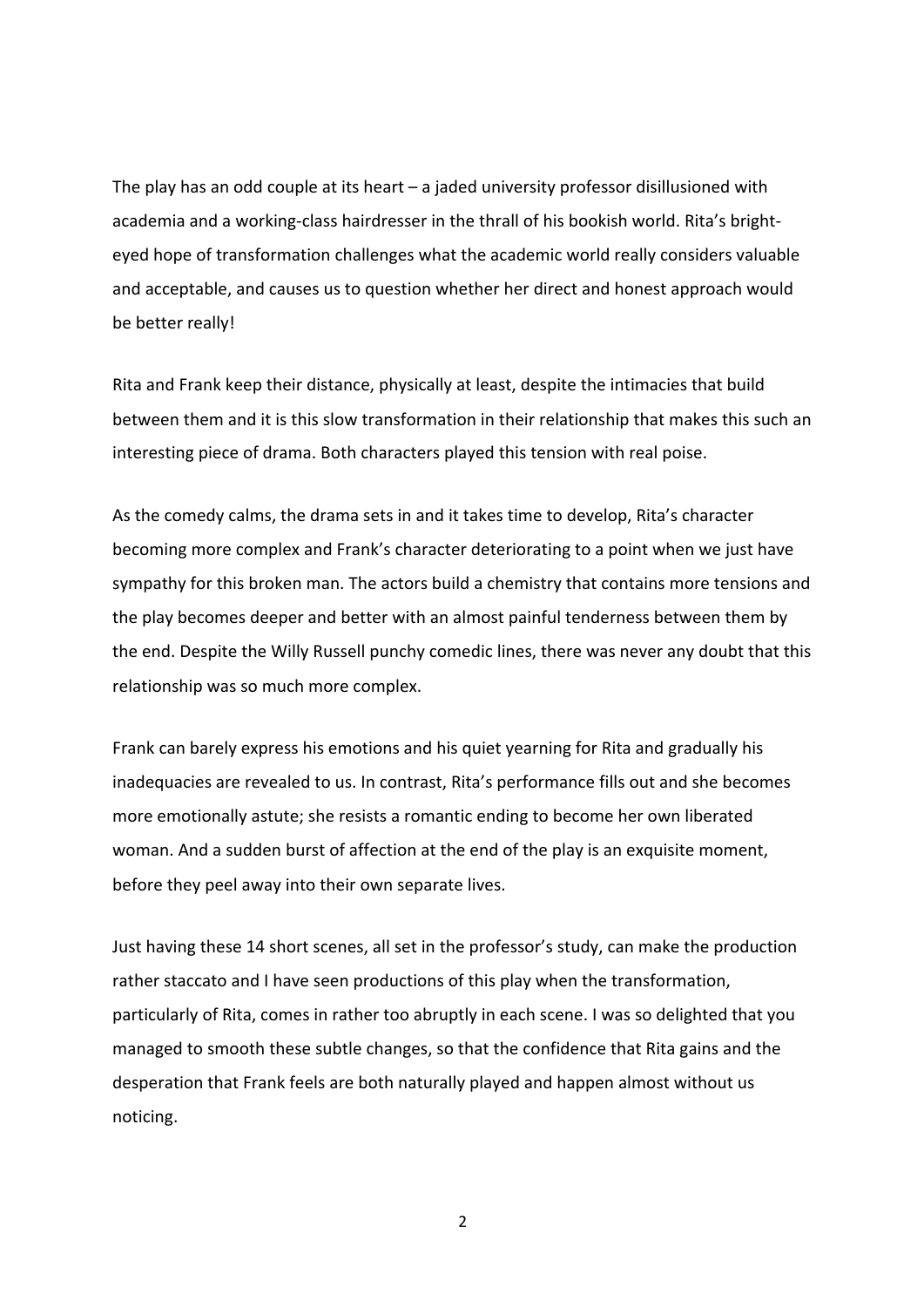The play has an odd couple at its heart – a jaded university professor disillusioned with academia and a working-class hairdresser in the thrall of his bookish world. Rita's brighteyed hope of transformation challenges what the academic world really considers valuable and acceptable, and causes us to question whether her direct and honest approach would be better really!

Rita and Frank keep their distance, physically at least, despite the intimacies that build between them and it is this slow transformation in their relationship that makes this such an interesting piece of drama. Both characters played this tension with real poise.

As the comedy calms, the drama sets in and it takes time to develop, Rita's character becoming more complex and Frank's character deteriorating to a point when we just have sympathy for this broken man. The actors build a chemistry that contains more tensions and the play becomes deeper and better with an almost painful tenderness between them by the end. Despite the Willy Russell punchy comedic lines, there was never any doubt that this relationship was so much more complex.

Frank can barely express his emotions and his quiet yearning for Rita and gradually his inadequacies are revealed to us. In contrast, Rita's performance fills out and she becomes more emotionally astute; she resists a romantic ending to become her own liberated woman. And a sudden burst of affection at the end of the play is an exquisite moment, before they peel away into their own separate lives.

Just having these 14 short scenes, all set in the professor's study, can make the production rather staccato and I have seen productions of this play when the transformation, particularly of Rita, comes in rather too abruptly in each scene. I was so delighted that you managed to smooth these subtle changes, so that the confidence that Rita gains and the desperation that Frank feels are both naturally played and happen almost without us noticing.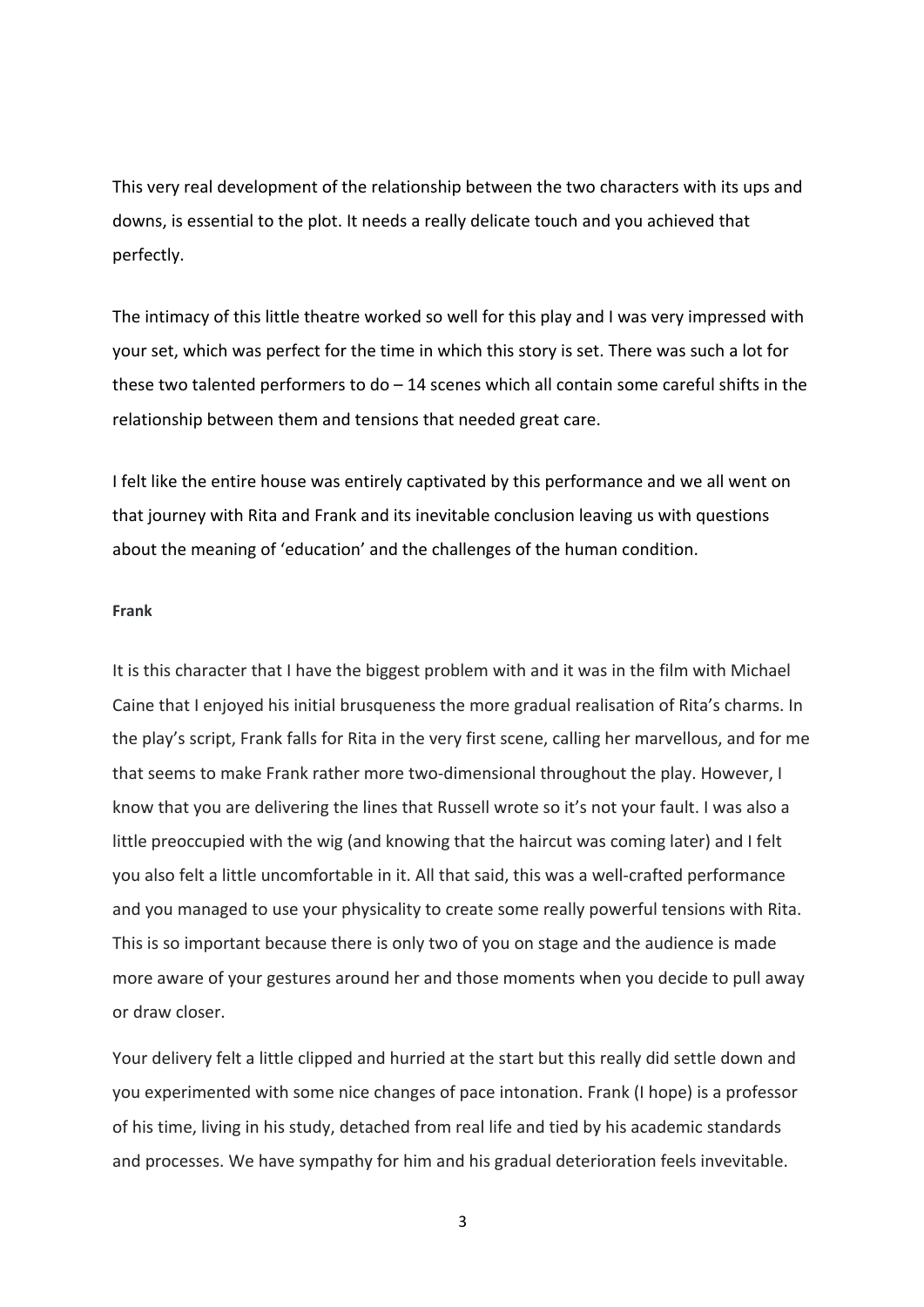This very real development of the relationship between the two characters with its ups and downs, is essential to the plot. It needs a really delicate touch and you achieved that perfectly.

The intimacy of this little theatre worked so well for this play and I was very impressed with your set, which was perfect for the time in which this story is set. There was such a lot for these two talented performers to do  $-14$  scenes which all contain some careful shifts in the relationship between them and tensions that needed great care.

I felt like the entire house was entirely captivated by this performance and we all went on that journey with Rita and Frank and its inevitable conclusion leaving us with questions about the meaning of 'education' and the challenges of the human condition.

## **Frank**

It is this character that I have the biggest problem with and it was in the film with Michael Caine that I enjoyed his initial brusqueness the more gradual realisation of Rita's charms. In the play's script, Frank falls for Rita in the very first scene, calling her marvellous, and for me that seems to make Frank rather more two-dimensional throughout the play. However, I know that you are delivering the lines that Russell wrote so it's not your fault. I was also a little preoccupied with the wig (and knowing that the haircut was coming later) and I felt you also felt a little uncomfortable in it. All that said, this was a well-crafted performance and you managed to use your physicality to create some really powerful tensions with Rita. This is so important because there is only two of you on stage and the audience is made more aware of your gestures around her and those moments when you decide to pull away or draw closer.

Your delivery felt a little clipped and hurried at the start but this really did settle down and you experimented with some nice changes of pace intonation. Frank (I hope) is a professor of his time, living in his study, detached from real life and tied by his academic standards and processes. We have sympathy for him and his gradual deterioration feels invevitable.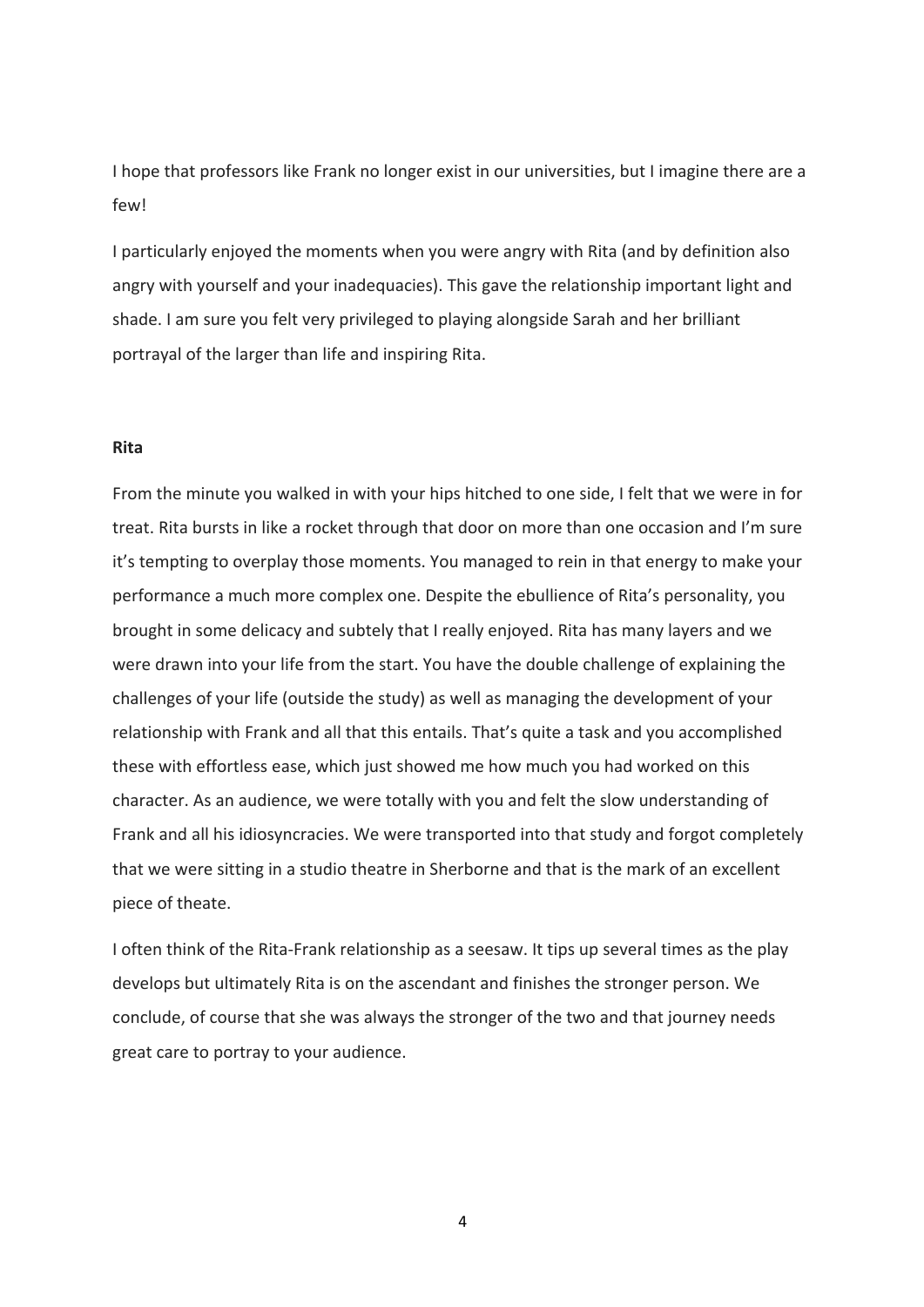I hope that professors like Frank no longer exist in our universities, but I imagine there are a few<sup>1</sup>

I particularly enjoyed the moments when you were angry with Rita (and by definition also angry with yourself and your inadequacies). This gave the relationship important light and shade. I am sure you felt very privileged to playing alongside Sarah and her brilliant portrayal of the larger than life and inspiring Rita.

## **Rita**

From the minute you walked in with your hips hitched to one side, I felt that we were in for treat. Rita bursts in like a rocket through that door on more than one occasion and I'm sure it's tempting to overplay those moments. You managed to rein in that energy to make your performance a much more complex one. Despite the ebullience of Rita's personality, you brought in some delicacy and subtely that I really enjoyed. Rita has many layers and we were drawn into your life from the start. You have the double challenge of explaining the challenges of your life (outside the study) as well as managing the development of your relationship with Frank and all that this entails. That's quite a task and you accomplished these with effortless ease, which just showed me how much you had worked on this character. As an audience, we were totally with you and felt the slow understanding of Frank and all his idiosyncracies. We were transported into that study and forgot completely that we were sitting in a studio theatre in Sherborne and that is the mark of an excellent piece of theate.

I often think of the Rita-Frank relationship as a seesaw. It tips up several times as the play develops but ultimately Rita is on the ascendant and finishes the stronger person. We conclude, of course that she was always the stronger of the two and that journey needs great care to portray to your audience.